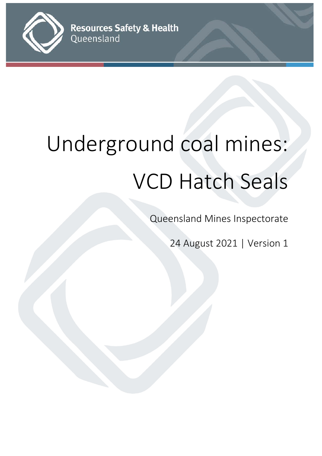

# Underground coal mines: VCD Hatch Seals

Queensland Mines Inspectorate

24 August 2021 | Version 1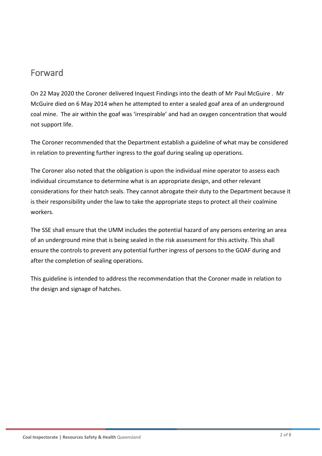## Forward

On 22 May 2020 the Coroner delivered Inquest Findings into the death of Mr Paul McGuire . Mr McGuire died on 6 May 2014 when he attempted to enter a sealed goaf area of an underground coal mine. The air within the goaf was 'irrespirable' and had an oxygen concentration that would not support life.

The Coroner recommended that the Department establish a guideline of what may be considered in relation to preventing further ingress to the goaf during sealing up operations.

The Coroner also noted that the obligation is upon the individual mine operator to assess each individual circumstance to determine what is an appropriate design, and other relevant considerations for their hatch seals. They cannot abrogate their duty to the Department because it is their responsibility under the law to take the appropriate steps to protect all their coalmine workers.

The SSE shall ensure that the UMM includes the potential hazard of any persons entering an area of an underground mine that is being sealed in the risk assessment for this activity. This shall ensure the controls to prevent any potential further ingress of persons to the GOAF during and after the completion of sealing operations.

This guideline is intended to address the recommendation that the Coroner made in relation to the design and signage of hatches.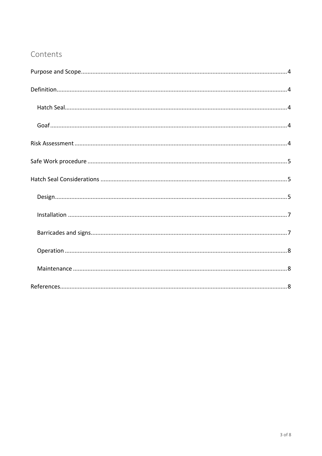#### Contents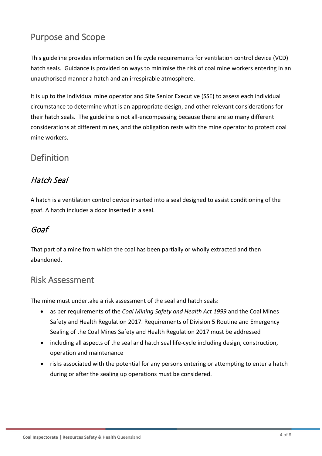# <span id="page-3-0"></span>Purpose and Scope

This guideline provides information on life cycle requirements for ventilation control device (VCD) hatch seals. Guidance is provided on ways to minimise the risk of coal mine workers entering in an unauthorised manner a hatch and an irrespirable atmosphere.

It is up to the individual mine operator and Site Senior Executive (SSE) to assess each individual circumstance to determine what is an appropriate design, and other relevant considerations for their hatch seals. The guideline is not all-encompassing because there are so many different considerations at different mines, and the obligation rests with the mine operator to protect coal mine workers.

# <span id="page-3-1"></span>**Definition**

## <span id="page-3-2"></span>Hatch Seal

A hatch is a ventilation control device inserted into a seal designed to assist conditioning of the goaf. A hatch includes a door inserted in a seal.

#### <span id="page-3-3"></span>Goaf

That part of a mine from which the coal has been partially or wholly extracted and then abandoned.

## <span id="page-3-4"></span>Risk Assessment

The mine must undertake a risk assessment of the seal and hatch seals:

- as per requirements of the *Coal Mining Safety and Health Act 1999* and the Coal Mines Safety and Health Regulation 2017. Requirements of Division 5 Routine and Emergency Sealing of the Coal Mines Safety and Health Regulation 2017 must be addressed
- including all aspects of the seal and hatch seal life-cycle including design, construction, operation and maintenance
- risks associated with the potential for any persons entering or attempting to enter a hatch during or after the sealing up operations must be considered.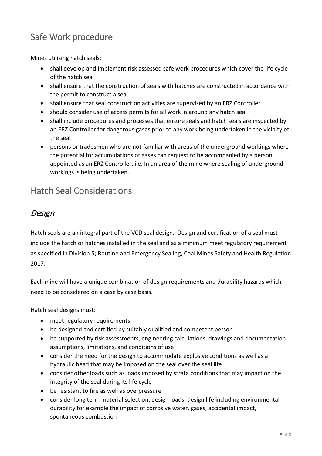# <span id="page-4-0"></span>Safe Work procedure

Mines utilising hatch seals:

- shall develop and implement risk assessed safe work procedures which cover the life cycle of the hatch seal
- shall ensure that the construction of seals with hatches are constructed in accordance with the permit to construct a seal
- shall ensure that seal construction activities are supervised by an ERZ Controller
- should consider use of access permits for all work in around any hatch seal
- shall include procedures and processes that ensure seals and hatch seals are inspected by an ERZ Controller for dangerous gases prior to any work being undertaken in the vicinity of the seal
- persons or tradesmen who are not familiar with areas of the underground workings where the potential for accumulations of gases can request to be accompanied by a person appointed as an ERZ Controller. i.e. In an area of the mine where sealing of underground workings is being undertaken.

# <span id="page-4-1"></span>Hatch Seal Considerations

## <span id="page-4-2"></span>Design

Hatch seals are an integral part of the VCD seal design. Design and certification of a seal must include the hatch or hatches installed in the seal and as a minimum meet regulatory requirement as specified in Division 5; Routine and Emergency Sealing, Coal Mines Safety and Health Regulation 2017.

Each mine will have a unique combination of design requirements and durability hazards which need to be considered on a case by case basis.

Hatch seal designs must:

- meet regulatory requirements
- be designed and certified by suitably qualified and competent person
- be supported by risk assessments, engineering calculations, drawings and documentation assumptions, limitations, and conditions of use
- consider the need for the design to accommodate explosive conditions as well as a hydraulic head that may be imposed on the seal over the seal life
- consider other loads such as loads imposed by strata conditions that may impact on the integrity of the seal during its life cycle
- be resistant to fire as well as overpressure
- consider long term material selection, design loads, design life including environmental durability for example the impact of corrosive water, gases, accidental impact, spontaneous combustion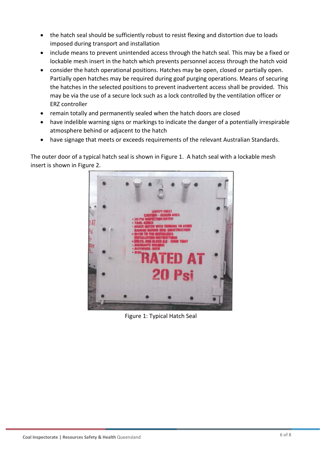- the hatch seal should be sufficiently robust to resist flexing and distortion due to loads imposed during transport and installation
- include means to prevent unintended access through the hatch seal. This may be a fixed or lockable mesh insert in the hatch which prevents personnel access through the hatch void
- consider the hatch operational positions. Hatches may be open, closed or partially open. Partially open hatches may be required during goaf purging operations. Means of securing the hatches in the selected positions to prevent inadvertent access shall be provided. This may be via the use of a secure lock such as a lock controlled by the ventilation officer or ERZ controller
- remain totally and permanently sealed when the hatch doors are closed
- have indelible warning signs or markings to indicate the danger of a potentially irrespirable atmosphere behind or adjacent to the hatch
- have signage that meets or exceeds requirements of the relevant Australian Standards.

The outer door of a typical hatch seal is shown in Figure 1. A hatch seal with a lockable mesh insert is shown in Figure 2.



Figure 1: Typical Hatch Seal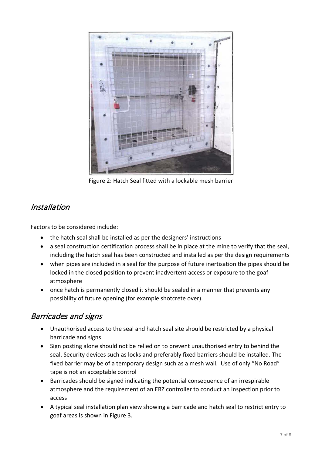

Figure 2: Hatch Seal fitted with a lockable mesh barrier

## <span id="page-6-0"></span>Installation

Factors to be considered include:

- the hatch seal shall be installed as per the designers' instructions
- a seal construction certification process shall be in place at the mine to verify that the seal, including the hatch seal has been constructed and installed as per the design requirements
- when pipes are included in a seal for the purpose of future inertisation the pipes should be locked in the closed position to prevent inadvertent access or exposure to the goaf atmosphere
- once hatch is permanently closed it should be sealed in a manner that prevents any possibility of future opening (for example shotcrete over).

## <span id="page-6-1"></span>Barricades and signs

- Unauthorised access to the seal and hatch seal site should be restricted by a physical barricade and signs
- Sign posting alone should not be relied on to prevent unauthorised entry to behind the seal. Security devices such as locks and preferably fixed barriers should be installed. The fixed barrier may be of a temporary design such as a mesh wall. Use of only "No Road" tape is not an acceptable control
- Barricades should be signed indicating the potential consequence of an irrespirable atmosphere and the requirement of an ERZ controller to conduct an inspection prior to access
- A typical seal installation plan view showing a barricade and hatch seal to restrict entry to goaf areas is shown in Figure 3.